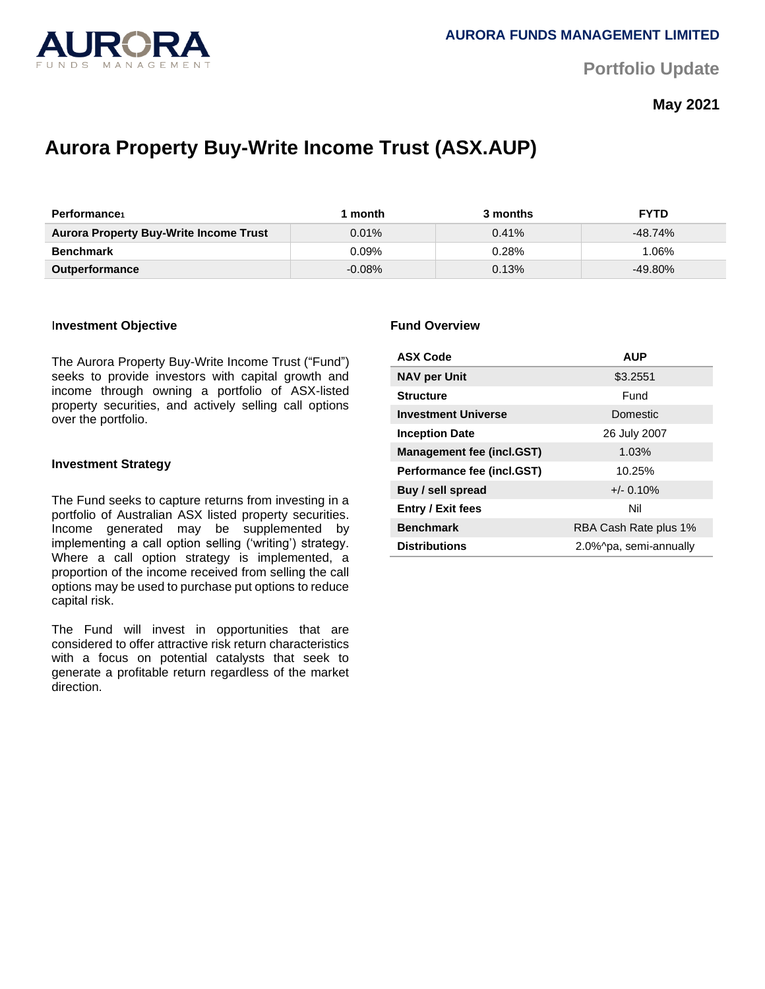

**Portfolio Update** 

**May 2021**

# **Aurora Property Buy-Write Income Trust (ASX.AUP)**

| <b>Performance</b>                            | month    | 3 months | <b>FYTD</b> |
|-----------------------------------------------|----------|----------|-------------|
| <b>Aurora Property Buy-Write Income Trust</b> | 0.01%    | $0.41\%$ | -48.74%     |
| Benchmark                                     | 0.09%    | 0.28%    | '.06%       |
| <b>Outperformance</b>                         | $-0.08%$ | 0.13%    | $-49.80\%$  |

### I**nvestment Objective**

The Aurora Property Buy-Write Income Trust ("Fund") seeks to provide investors with capital growth and income through owning a portfolio of ASX-listed property securities, and actively selling call options over the portfolio.

### **Investment Strategy**

The Fund seeks to capture returns from investing in a portfolio of Australian ASX listed property securities. Income generated may be supplemented by implementing a call option selling ('writing') strategy. Where a call option strategy is implemented, a proportion of the income received from selling the call options may be used to purchase put options to reduce capital risk.

The Fund will invest in opportunities that are considered to offer attractive risk return characteristics with a focus on potential catalysts that seek to generate a profitable return regardless of the market direction.

### **Fund Overview**

| <b>ASX Code</b>                  | <b>AUP</b>             |  |
|----------------------------------|------------------------|--|
| <b>NAV per Unit</b>              | \$3.2551               |  |
| <b>Structure</b>                 | Fund                   |  |
| <b>Investment Universe</b>       | Domestic               |  |
| <b>Inception Date</b>            | 26 July 2007           |  |
| <b>Management fee (incl.GST)</b> | 1.03%                  |  |
| Performance fee (incl.GST)       | 10.25%                 |  |
| Buy / sell spread                | $+/- 0.10%$            |  |
| <b>Entry / Exit fees</b>         | Nil                    |  |
| <b>Benchmark</b>                 | RBA Cash Rate plus 1%  |  |
| <b>Distributions</b>             | 2.0%^pa, semi-annually |  |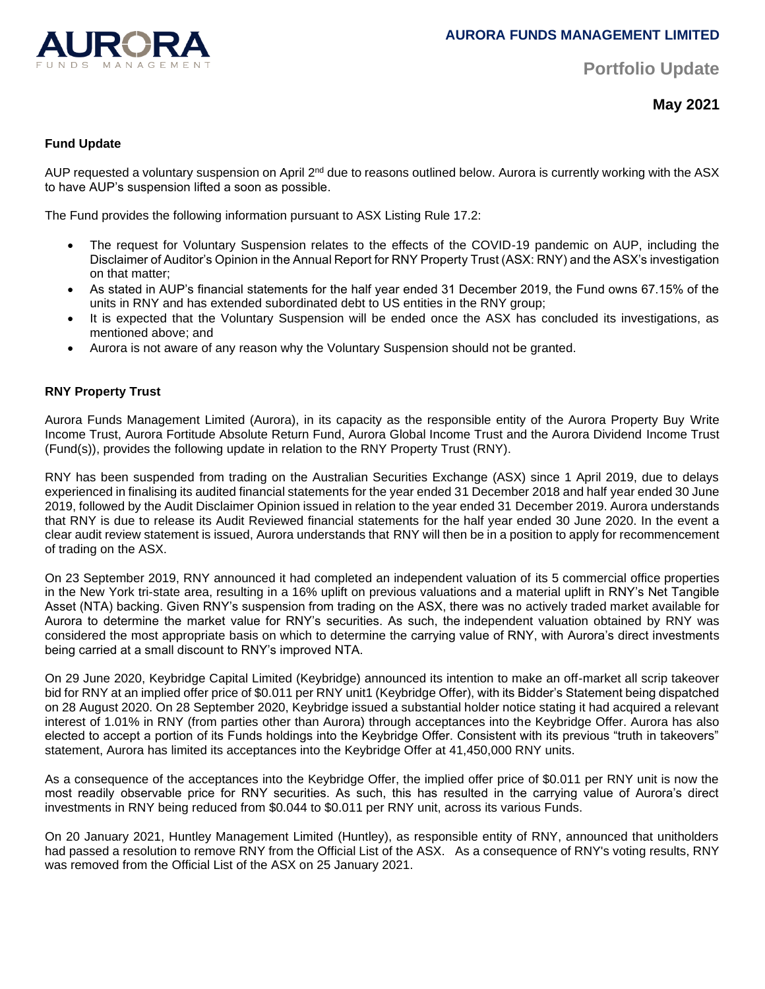

**Portfolio Update** 

**May 2021**

# **Fund Update**

AUP requested a voluntary suspension on April 2<sup>nd</sup> due to reasons outlined below. Aurora is currently working with the ASX to have AUP's suspension lifted a soon as possible.

The Fund provides the following information pursuant to ASX Listing Rule 17.2:

- The request for Voluntary Suspension relates to the effects of the COVID-19 pandemic on AUP, including the Disclaimer of Auditor's Opinion in the Annual Report for RNY Property Trust (ASX: RNY) and the ASX's investigation on that matter;
- As stated in AUP's financial statements for the half year ended 31 December 2019, the Fund owns 67.15% of the units in RNY and has extended subordinated debt to US entities in the RNY group;
- It is expected that the Voluntary Suspension will be ended once the ASX has concluded its investigations, as mentioned above; and
- Aurora is not aware of any reason why the Voluntary Suspension should not be granted.

# **RNY Property Trust**

Aurora Funds Management Limited (Aurora), in its capacity as the responsible entity of the Aurora Property Buy Write Income Trust, Aurora Fortitude Absolute Return Fund, Aurora Global Income Trust and the Aurora Dividend Income Trust (Fund(s)), provides the following update in relation to the RNY Property Trust (RNY).

RNY has been suspended from trading on the Australian Securities Exchange (ASX) since 1 April 2019, due to delays experienced in finalising its audited financial statements for the year ended 31 December 2018 and half year ended 30 June 2019, followed by the Audit Disclaimer Opinion issued in relation to the year ended 31 December 2019. Aurora understands that RNY is due to release its Audit Reviewed financial statements for the half year ended 30 June 2020. In the event a clear audit review statement is issued, Aurora understands that RNY will then be in a position to apply for recommencement of trading on the ASX.

On 23 September 2019, RNY announced it had completed an independent valuation of its 5 commercial office properties in the New York tri-state area, resulting in a 16% uplift on previous valuations and a material uplift in RNY's Net Tangible Asset (NTA) backing. Given RNY's suspension from trading on the ASX, there was no actively traded market available for Aurora to determine the market value for RNY's securities. As such, the independent valuation obtained by RNY was considered the most appropriate basis on which to determine the carrying value of RNY, with Aurora's direct investments being carried at a small discount to RNY's improved NTA.

On 29 June 2020, Keybridge Capital Limited (Keybridge) announced its intention to make an off-market all scrip takeover bid for RNY at an implied offer price of \$0.011 per RNY unit1 (Keybridge Offer), with its Bidder's Statement being dispatched on 28 August 2020. On 28 September 2020, Keybridge issued a substantial holder notice stating it had acquired a relevant interest of 1.01% in RNY (from parties other than Aurora) through acceptances into the Keybridge Offer. Aurora has also elected to accept a portion of its Funds holdings into the Keybridge Offer. Consistent with its previous "truth in takeovers" statement, Aurora has limited its acceptances into the Keybridge Offer at 41,450,000 RNY units.

As a consequence of the acceptances into the Keybridge Offer, the implied offer price of \$0.011 per RNY unit is now the most readily observable price for RNY securities. As such, this has resulted in the carrying value of Aurora's direct investments in RNY being reduced from \$0.044 to \$0.011 per RNY unit, across its various Funds.

On 20 January 2021, Huntley Management Limited (Huntley), as responsible entity of RNY, announced that unitholders had passed a resolution to remove RNY from the Official List of the ASX. As a consequence of RNY's voting results, RNY was removed from the Official List of the ASX on 25 January 2021.